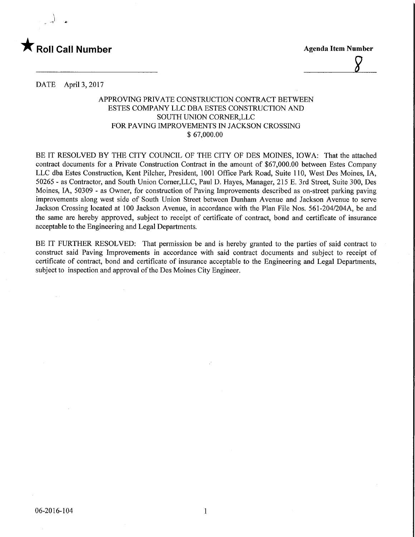

 $\gamma$ 

DATE April 3, 2017

## APPROVING PRIVATE CONSTRUCTION CONTRACT BETWEEN ESTES COMPANY LLC DBA ESTES CONSTRUCTION AND SOUTH UNION CORNER,LLC FOR PAVING IMPROVEMENTS IN JACKSON CROSSING \$ 67,000.00

BE IT RESOLVED BY THE CITY COUNCIL OF THE CITY OF DES MOINES, IOWA: That the attached contract documents for a Private Construction Contract in the amount of \$67,000.00 between Estes Company LLC dba Estes Construction, Kent Pilcher, President, 1001 Office Park Road, Suite 110, West Des Moines, IA, 50265 - as Contractor, and South Union Corner,LLC, Paul D. Hayes, Manager, 215 E. 3rd Street, Suite 300, Des Moines, LA, 50309 - as Owner, for construction of Paving Improvements described as on-street parking paving improvements along west side of South Union Street between Dunham Avenue and Jackson Avenue to serve Jackson Crossing located at 100 Jackson Avenue, in accordance with the Plan File Nos. 561-204/204A, be and the same are hereby approved, subject to receipt of certificate of contract, bond and certificate of insurance acceptable to the Engineering and Legal Departments.

BE IT FURTHER RESOLVED: That permission be and is hereby granted to the parties of said contract to construct said Paving Improvements in accordance with said contract documents and subject to receipt of certificate of contract, bond and certificate of insurance acceptable to the Engineering and Legal Departments, subject to inspection and approval of the Des Moines City Engineer.

 $\mathbf{1}$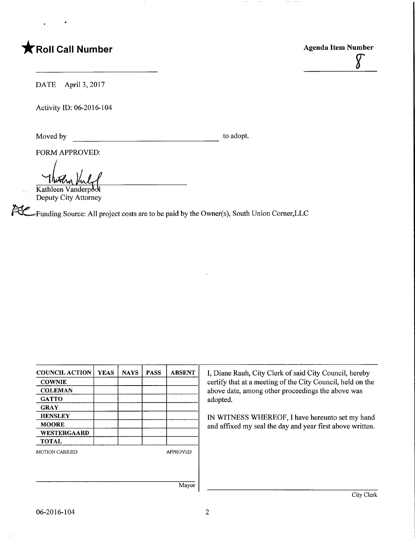## **The Call Number Agents Contained Agents Agents Item Number**

 $\delta$ 

DATE April 3, 2017

Activity ID: 06-2016-104

Moved by to adopt.

FORM APPROVED:

Kathleen Vanderpool Deputy City Attorney

"Funding Source: All project costs are to be paid by the Owner(s), South Union Comer,LLC

| <b>COUNCIL ACTION</b> | <b>YEAS</b> | <b>NAYS</b> | <b>PASS</b> | <b>ABSENT</b>   |
|-----------------------|-------------|-------------|-------------|-----------------|
| <b>COWNIE</b>         |             |             |             |                 |
| <b>COLEMAN</b>        |             |             |             |                 |
| <b>GATTO</b>          |             |             |             |                 |
| <b>GRAY</b>           |             |             |             |                 |
| <b>HENSLEY</b>        |             |             |             |                 |
| <b>MOORE</b>          |             |             |             |                 |
| <b>WESTERGAARD</b>    |             |             |             |                 |
| <b>TOTAL</b>          |             |             |             |                 |
| <b>MOTION CARRIED</b> |             |             |             | <b>APPROVED</b> |
|                       |             |             |             |                 |
|                       |             |             |             |                 |
|                       |             |             |             |                 |
|                       |             |             |             | Mavor           |

I, Diane Rauh, City Clerk of said City Council, hereby certify that at a meeting of the City Council, held on the above date, among other proceedings the above was adopted.

IN WITNESS WHEREOF, I have hereunto set my hand and affixed my seal the day and year first above written.

Mayor